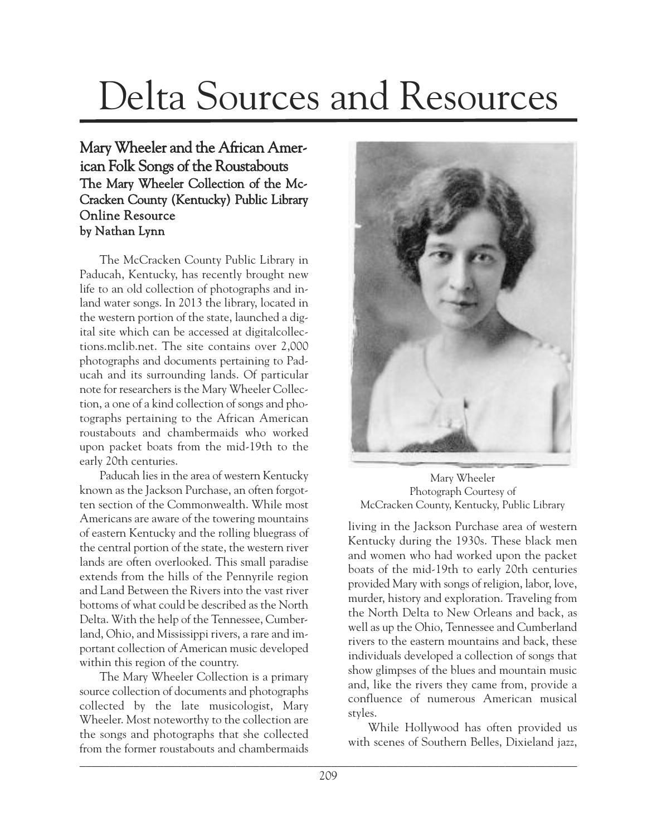## Delta Sources and Resources

## Mary Wheeler and the African American Folk Songs of the Roustabouts The Mary Wheeler Collection of the Mc-Cracken County (Kentucky) Public Library Online Resource by Nathan Lynn

The McCracken County Public Library in Paducah, Kentucky, has recently brought new life to an old collection of photographs and inland water songs. In 2013 the library, located in the western portion of the state, launched a digital site which can be accessed at digitalcollections.mclib.net. The site contains over 2,000 photographs and documents pertaining to Paducah and its surrounding lands. Of particular note for researchers is the Mary Wheeler Collection, a one of a kind collection of songs and photographs pertaining to the African American roustabouts and chambermaids who worked upon packet boats from the mid-19th to the early 20th centuries.

Paducah lies in the area of western Kentucky known as the Jackson Purchase, an often forgotten section of the Commonwealth. While most Americans are aware of the towering mountains of eastern Kentucky and the rolling bluegrass of the central portion of the state, the western river lands are often overlooked. This small paradise extends from the hills of the Pennyrile region and Land Between the Rivers into the vast river bottoms of what could be described as the North Delta. With the help of the Tennessee, Cumberland, Ohio, and Mississippi rivers, a rare and important collection of American music developed within this region of the country.

The Mary Wheeler Collection is a primary source collection of documents and photographs collected by the late musicologist, Mary Wheeler. Most noteworthy to the collection are the songs and photographs that she collected from the former roustabouts and chambermaids



Mary Wheeler Photograph Courtesy of McCracken County, Kentucky, Public Library

living in the Jackson Purchase area of western Kentucky during the 1930s. These black men and women who had worked upon the packet boats of the mid-19th to early 20th centuries provided Mary with songs of religion, labor, love, murder, history and exploration. Traveling from the North Delta to New Orleans and back, as well as up the Ohio, Tennessee and Cumberland rivers to the eastern mountains and back, these individuals developed a collection of songs that show glimpses of the blues and mountain music and, like the rivers they came from, provide a confluence of numerous American musical styles.

While Hollywood has often provided us with scenes of Southern Belles, Dixieland jazz,